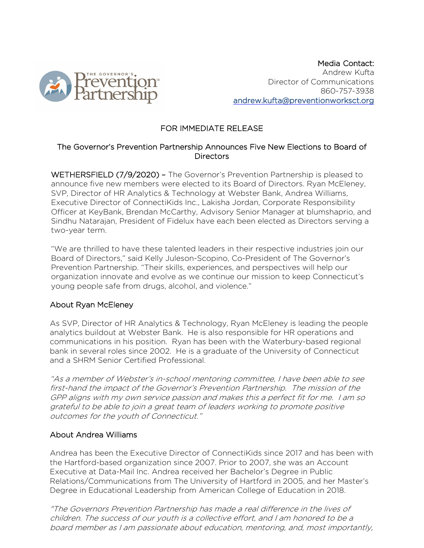

Media Contact: Andrew Kufta Director of Communications 860-757-3938 andrew.kufta@preventionworksct.org

# FOR IMMEDIATE RELEASE

## The Governor's Prevention Partnership Announces Five New Elections to Board of **Directors**

WETHERSFIELD (7/9/2020) – The Governor's Prevention Partnership is pleased to announce five new members were elected to its Board of Directors. Ryan McEleney, SVP, Director of HR Analytics & Technology at Webster Bank, Andrea Williams, Executive Director of ConnectiKids Inc., Lakisha Jordan, Corporate Responsibility Officer at KeyBank, Brendan McCarthy, Advisory Senior Manager at blumshaprio, and Sindhu Natarajan, President of Fidelux have each been elected as Directors serving a two-year term.

"We are thrilled to have these talented leaders in their respective industries join our Board of Directors," said Kelly Juleson-Scopino, Co-President of The Governor's Prevention Partnership. "Their skills, experiences, and perspectives will help our organization innovate and evolve as we continue our mission to keep Connecticut's young people safe from drugs, alcohol, and violence."

#### About Ryan McEleney

As SVP, Director of HR Analytics & Technology, Ryan McEleney is leading the people analytics buildout at Webster Bank. He is also responsible for HR operations and communications in his position. Ryan has been with the Waterbury-based regional bank in several roles since 2002. He is a graduate of the University of Connecticut and a SHRM Senior Certified Professional.

"As a member of Webster's in-school mentoring committee, I have been able to see first-hand the impact of the Governor's Prevention Partnership. The mission of the GPP aligns with my own service passion and makes this a perfect fit for me. I am so grateful to be able to join a great team of leaders working to promote positive outcomes for the youth of Connecticut."

#### About Andrea Williams

Andrea has been the Executive Director of ConnectiKids since 2017 and has been with the Hartford-based organization since 2007. Prior to 2007, she was an Account Executive at Data-Mail Inc. Andrea received her Bachelor's Degree in Public Relations/Communications from The University of Hartford in 2005, and her Master's Degree in Educational Leadership from American College of Education in 2018.

"The Governors Prevention Partnership has made a real difference in the lives of children. The success of our youth is a collective effort, and I am honored to be a board member as I am passionate about education, mentoring, and, most importantly,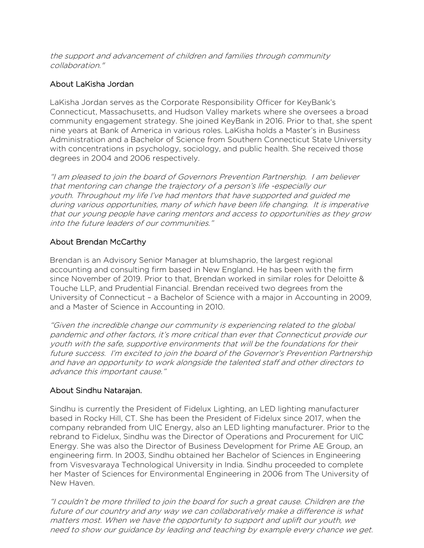the support and advancement of children and families through community collaboration."

## About LaKisha Jordan

LaKisha Jordan serves as the Corporate Responsibility Officer for KeyBank's Connecticut, Massachusetts, and Hudson Valley markets where she oversees a broad community engagement strategy. She joined KeyBank in 2016. Prior to that, she spent nine years at Bank of America in various roles. LaKisha holds a Master's in Business Administration and a Bachelor of Science from Southern Connecticut State University with concentrations in psychology, sociology, and public health. She received those degrees in 2004 and 2006 respectively.

"I am pleased to join the board of Governors Prevention Partnership. I am believer that mentoring can change the trajectory of a person's life -especially our youth. Throughout my life I've had mentors that have supported and guided me during various opportunities, many of which have been life changing. It is imperative that our young people have caring mentors and access to opportunities as they grow into the future leaders of our communities."

# About Brendan McCarthy

Brendan is an Advisory Senior Manager at blumshaprio, the largest regional accounting and consulting firm based in New England. He has been with the firm since November of 2019. Prior to that, Brendan worked in similar roles for Deloitte & Touche LLP, and Prudential Financial. Brendan received two degrees from the University of Connecticut – a Bachelor of Science with a major in Accounting in 2009, and a Master of Science in Accounting in 2010.

"Given the incredible change our community is experiencing related to the global pandemic and other factors, it's more critical than ever that Connecticut provide our youth with the safe, supportive environments that will be the foundations for their future success. I'm excited to join the board of the Governor's Prevention Partnership and have an opportunity to work alongside the talented staff and other directors to advance this important cause."

#### About Sindhu Natarajan.

Sindhu is currently the President of Fidelux Lighting, an LED lighting manufacturer based in Rocky Hill, CT. She has been the President of Fidelux since 2017, when the company rebranded from UIC Energy, also an LED lighting manufacturer. Prior to the rebrand to Fidelux, Sindhu was the Director of Operations and Procurement for UIC Energy. She was also the Director of Business Development for Prime AE Group, an engineering firm. In 2003, Sindhu obtained her Bachelor of Sciences in Engineering from Visvesvaraya Technological University in India. Sindhu proceeded to complete her Master of Sciences for Environmental Engineering in 2006 from The University of New Haven.

"I couldn't be more thrilled to join the board for such a great cause. Children are the future of our country and any way we can collaboratively make a difference is what matters most. When we have the opportunity to support and uplift our youth, we need to show our guidance by leading and teaching by example every chance we get.